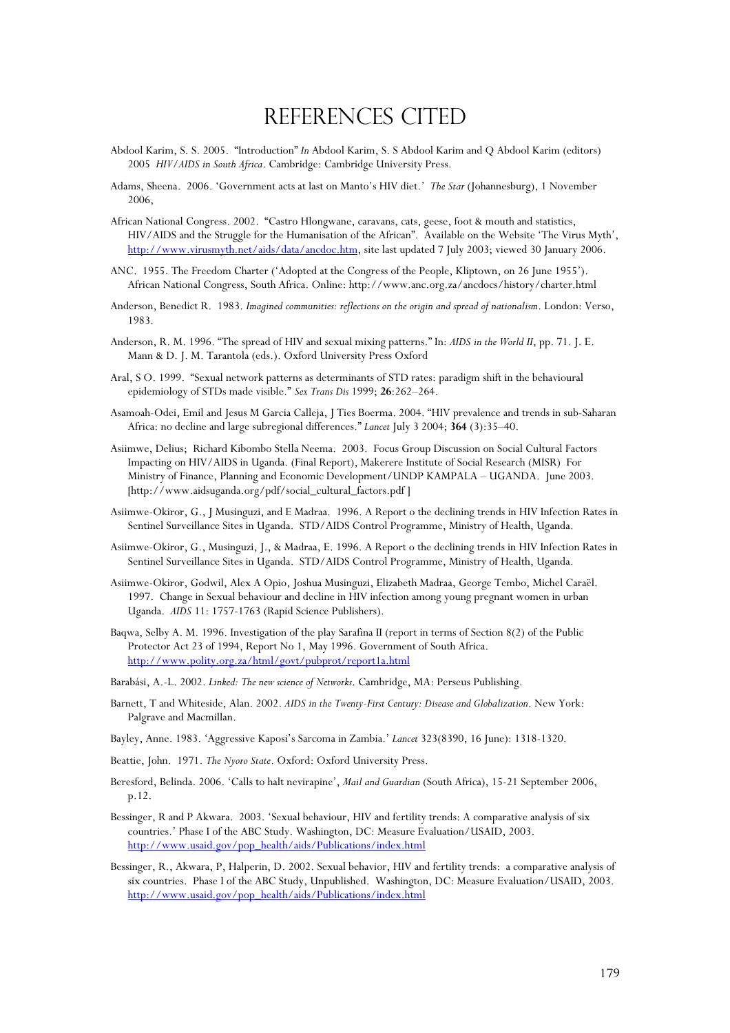## References Cited

- Abdool Karim, S. S. 2005. "Introduction" *In* Abdool Karim, S. S Abdool Karim and Q Abdool Karim (editors) 2005 *HIV/AIDS in South Africa*. Cambridge: Cambridge University Press.
- Adams, Sheena. 2006. 'Government acts at last on Manto's HIV diet.' *The Star* (Johannesburg), 1 November 2006,
- African National Congress. 2002. "Castro Hlongwane, caravans, cats, geese, foot & mouth and statistics, HIV/AIDS and the Struggle for the Humanisation of the African". Available on the Website 'The Virus Myth', http://www.virusmyth.net/aids/data/ancdoc.htm, site last updated 7 July 2003; viewed 30 January 2006.
- ANC. 1955. The Freedom Charter ('Adopted at the Congress of the People, Kliptown, on 26 June 1955'). African National Congress, South Africa. Online: http://www.anc.org.za/ancdocs/history/charter.html
- Anderson, Benedict R. 1983. *Imagined communities: reflections on the origin and spread of nationalism*. London: Verso, 1983.
- Anderson, R. M. 1996. "The spread of HIV and sexual mixing patterns." In: *AIDS in the World II*, pp. 71. J. E. Mann & D. J. M. Tarantola (eds.). Oxford University Press Oxford
- Aral, S O. 1999. "Sexual network patterns as determinants of STD rates: paradigm shift in the behavioural epidemiology of STDs made visible." *Sex Trans Dis* 1999; **26**:262–264.
- Asamoah-Odei, Emil and Jesus M Garcia Calleja, J Ties Boerma. 2004. "HIV prevalence and trends in sub-Saharan Africa: no decline and large subregional differences." *Lancet* July 3 2004; **364** (3):35–40.
- Asiimwe, Delius; Richard Kibombo Stella Neema. 2003. Focus Group Discussion on Social Cultural Factors Impacting on HIV/AIDS in Uganda. (Final Report), Makerere Institute of Social Research (MISR) For Ministry of Finance, Planning and Economic Development/UNDP KAMPALA – UGANDA. June 2003. [http://www.aidsuganda.org/pdf/social\_cultural\_factors.pdf ]
- Asiimwe-Okiror, G., J Musinguzi, and E Madraa. 1996. A Report o the declining trends in HIV Infection Rates in Sentinel Surveillance Sites in Uganda. STD/AIDS Control Programme, Ministry of Health, Uganda.
- Asiimwe-Okiror, G., Musinguzi, J., & Madraa, E. 1996. A Report o the declining trends in HIV Infection Rates in Sentinel Surveillance Sites in Uganda. STD/AIDS Control Programme, Ministry of Health, Uganda.
- Asiimwe-Okiror, Godwil, Alex A Opio, Joshua Musinguzi, Elizabeth Madraa, George Tembo, Michel Caraël. 1997. Change in Sexual behaviour and decline in HIV infection among young pregnant women in urban Uganda. *AIDS* 11: 1757-1763 (Rapid Science Publishers).
- Baqwa, Selby A. M. 1996. Investigation of the play Sarafina II (report in terms of Section 8(2) of the Public Protector Act 23 of 1994, Report No 1, May 1996. Government of South Africa. http://www.polity.org.za/html/govt/pubprot/report1a.html
- Barabási, A.-L. 2002. *Linked: The new science of Networks*. Cambridge, MA: Perseus Publishing.
- Barnett, T and Whiteside, Alan. 2002. *AIDS in the Twenty-First Century: Disease and Globalization*. New York: Palgrave and Macmillan.
- Bayley, Anne. 1983. 'Aggressive Kaposi's Sarcoma in Zambia.' *Lancet* 323(8390, 16 June): 1318-1320.
- Beattie, John. 1971. *The Nyoro State*. Oxford: Oxford University Press.
- Beresford, Belinda. 2006. 'Calls to halt nevirapine', *Mail and Guardian* (South Africa), 15-21 September 2006, p.12.
- Bessinger, R and P Akwara. 2003. 'Sexual behaviour, HIV and fertility trends: A comparative analysis of six countries.' Phase I of the ABC Study. Washington, DC: Measure Evaluation/USAID, 2003. http://www.usaid.gov/pop\_health/aids/Publications/index.html
- Bessinger, R., Akwara, P, Halperin, D. 2002. Sexual behavior, HIV and fertility trends: a comparative analysis of six countries. Phase I of the ABC Study, Unpublished. Washington, DC: Measure Evaluation/USAID, 2003. http://www.usaid.gov/pop\_health/aids/Publications/index.html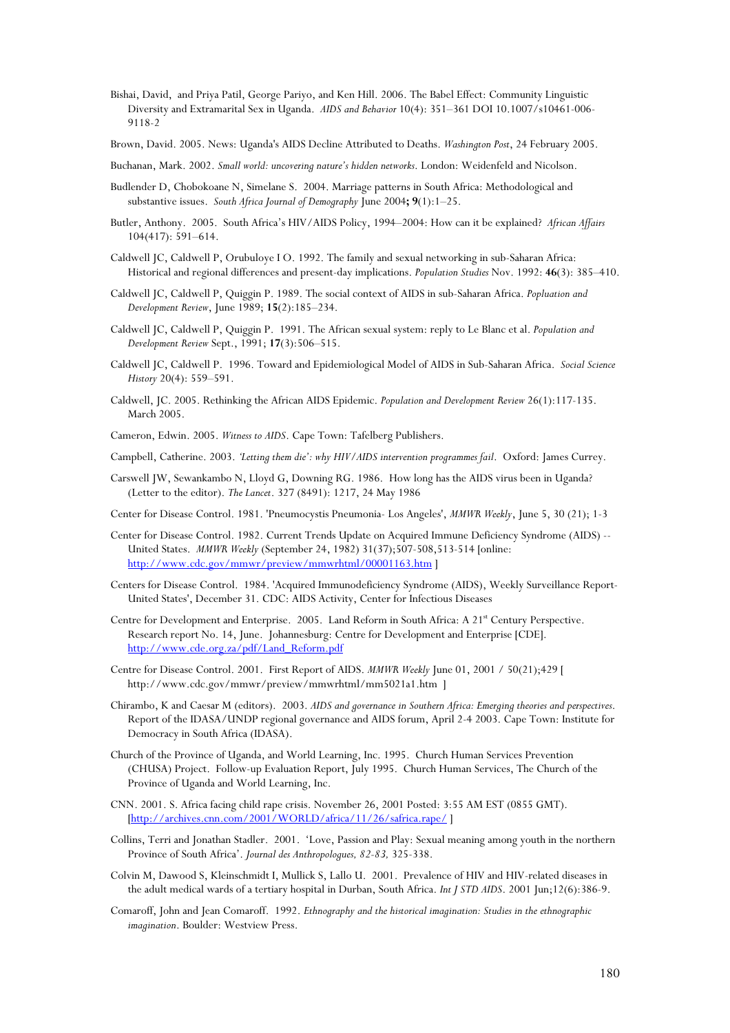- Bishai, David, and Priya Patil, George Pariyo, and Ken Hill. 2006. The Babel Effect: Community Linguistic Diversity and Extramarital Sex in Uganda. *AIDS and Behavior* 10(4): 351–361 DOI 10.1007/s10461-006- 9118-2
- Brown, David. 2005. News: Uganda's AIDS Decline Attributed to Deaths. *Washington Post*, 24 February 2005.

Buchanan, Mark. 2002. *Small world: uncovering nature's hidden networks*. London: Weidenfeld and Nicolson.

- Budlender D, Chobokoane N, Simelane S. 2004. Marriage patterns in South Africa: Methodological and substantive issues. *South Africa Journal of Demography* June 2004**; 9**(1):1–25.
- Butler, Anthony. 2005. South Africa's HIV/AIDS Policy, 1994–2004: How can it be explained? *African Affairs* 104(417): 591–614.
- Caldwell JC, Caldwell P, Orubuloye I O. 1992. The family and sexual networking in sub-Saharan Africa: Historical and regional differences and present-day implications. *Population Studies* Nov. 1992: **46**(3): 385–410.
- Caldwell JC, Caldwell P, Quiggin P. 1989. The social context of AIDS in sub-Saharan Africa. *Popluation and Development Review*, June 1989; **15**(2):185–234.
- Caldwell JC, Caldwell P, Quiggin P. 1991. The African sexual system: reply to Le Blanc et al. *Population and Development Review* Sept., 1991; **17**(3):506–515.
- Caldwell JC, Caldwell P. 1996. Toward and Epidemiological Model of AIDS in Sub-Saharan Africa. *Social Science History* 20(4): 559–591.
- Caldwell, JC. 2005. Rethinking the African AIDS Epidemic. *Population and Development Review* 26(1):117-135. March 2005.

Cameron, Edwin. 2005. *Witness to AIDS*. Cape Town: Tafelberg Publishers.

- Campbell, Catherine. 2003. *'Letting them die': why HIV/AIDS intervention programmes fail*. Oxford: James Currey.
- Carswell JW, Sewankambo N, Lloyd G, Downing RG. 1986. How long has the AIDS virus been in Uganda? (Letter to the editor). *The Lancet*. 327 (8491): 1217, 24 May 1986
- Center for Disease Control. 1981. 'Pneumocystis Pneumonia- Los Angeles', *MMWR Weekly*, June 5, 30 (21); 1-3
- Center for Disease Control. 1982. Current Trends Update on Acquired Immune Deficiency Syndrome (AIDS) -- United States. *MMWR Weekly* (September 24, 1982) 31(37);507-508,513-514 [online: http://www.cdc.gov/mmwr/preview/mmwrhtml/00001163.htm ]
- Centers for Disease Control. 1984. 'Acquired Immunodeficiency Syndrome (AIDS), Weekly Surveillance Report-United States', December 31. CDC: AIDS Activity, Center for Infectious Diseases
- Centre for Development and Enterprise. 2005. Land Reform in South Africa: A 21<sup>st</sup> Century Perspective. Research report No. 14, June. Johannesburg: Centre for Development and Enterprise [CDE]. http://www.cde.org.za/pdf/Land\_Reform.pdf
- Centre for Disease Control. 2001. First Report of AIDS. *MMWR Weekly* June 01, 2001 / 50(21);429 [ http://www.cdc.gov/mmwr/preview/mmwrhtml/mm5021a1.htm ]
- Chirambo, K and Caesar M (editors). 2003. *AIDS and governance in Southern Africa: Emerging theories and perspectives*. Report of the IDASA/UNDP regional governance and AIDS forum, April 2-4 2003. Cape Town: Institute for Democracy in South Africa (IDASA).
- Church of the Province of Uganda, and World Learning, Inc. 1995. Church Human Services Prevention (CHUSA) Project. Follow-up Evaluation Report, July 1995. Church Human Services, The Church of the Province of Uganda and World Learning, Inc.
- CNN. 2001. S. Africa facing child rape crisis. November 26, 2001 Posted: 3:55 AM EST (0855 GMT). [http://archives.cnn.com/2001/WORLD/africa/11/26/safrica.rape/
- Collins, Terri and Jonathan Stadler. 2001. 'Love, Passion and Play: Sexual meaning among youth in the northern Province of South Africa'. *Journal des Anthropologues, 82-83,* 325-338.
- Colvin M, Dawood S, Kleinschmidt I, Mullick S, Lallo U. 2001. Prevalence of HIV and HIV-related diseases in the adult medical wards of a tertiary hospital in Durban, South Africa. *Int J STD AIDS*. 2001 Jun;12(6):386-9.
- Comaroff, John and Jean Comaroff. 1992. *Ethnography and the historical imagination: Studies in the ethnographic imagination*. Boulder: Westview Press.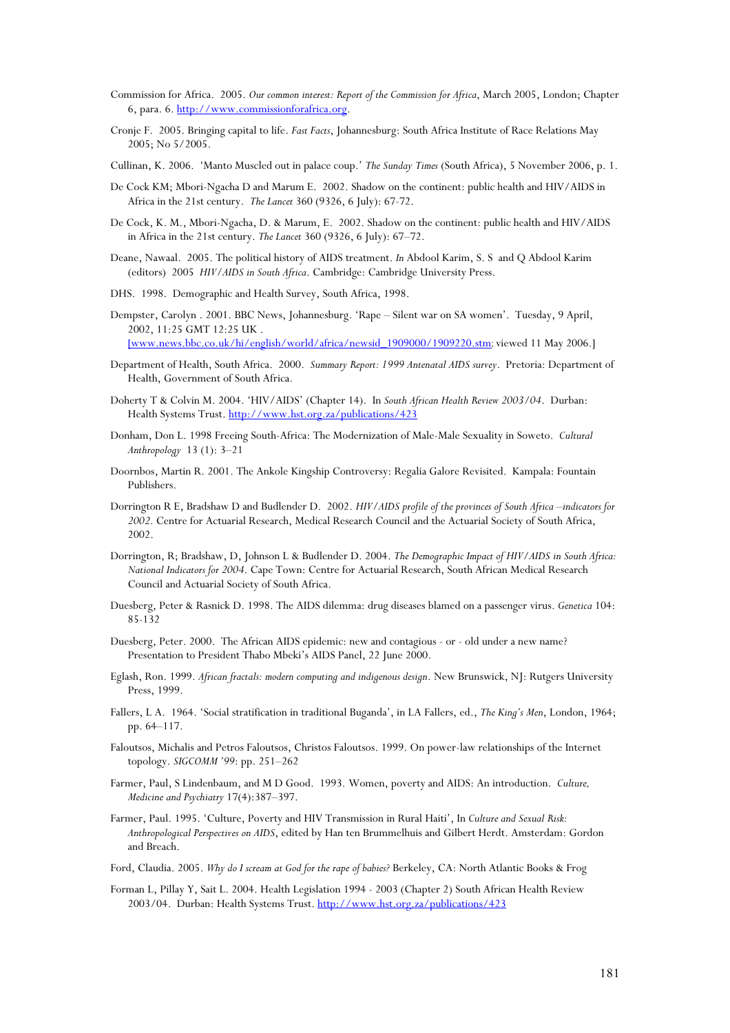- Commission for Africa. 2005. *Our common interest: Report of the Commission for Africa*, March 2005, London; Chapter 6, para. 6. http://www.commissionforafrica.org.
- Cronje F. 2005. Bringing capital to life. *Fast Facts*, Johannesburg: South Africa Institute of Race Relations May 2005; No 5/2005.
- Cullinan, K. 2006. 'Manto Muscled out in palace coup.' *The Sunday Times* (South Africa), 5 November 2006, p. 1.
- De Cock KM; Mbori-Ngacha D and Marum E. 2002. Shadow on the continent: public health and HIV/AIDS in Africa in the 21st century. *The Lancet* 360 (9326, 6 July): 67-72.
- De Cock, K. M., Mbori-Ngacha, D. & Marum, E. 2002. Shadow on the continent: public health and HIV/AIDS in Africa in the 21st century. *The Lancet* 360 (9326, 6 July): 67–72.
- Deane, Nawaal. 2005. The political history of AIDS treatment. *In* Abdool Karim, S. S and Q Abdool Karim (editors) 2005 *HIV/AIDS in South Africa*. Cambridge: Cambridge University Press.
- DHS. 1998. Demographic and Health Survey, South Africa, 1998.
- Dempster, Carolyn . 2001. BBC News, Johannesburg. 'Rape Silent war on SA women'. Tuesday, 9 April, 2002, 11:25 GMT 12:25 UK .

[www.news.bbc.co.uk/hi/english/world/africa/newsid\_1909000/1909220.stm; viewed 11 May 2006.]

- Department of Health, South Africa. 2000. *Summary Report: 1999 Antenatal AIDS survey*. Pretoria: Department of Health, Government of South Africa.
- Doherty T & Colvin M. 2004. 'HIV/AIDS' (Chapter 14). In *South African Health Review 2003/04*. Durban: Health Systems Trust. http://www.hst.org.za/publications/423
- Donham, Don L. 1998 Freeing South-Africa: The Modernization of Male-Male Sexuality in Soweto. *Cultural Anthropology* 13 (1): 3–21
- Doornbos, Martin R. 2001. The Ankole Kingship Controversy: Regalia Galore Revisited. Kampala: Fountain Publishers.
- Dorrington R E, Bradshaw D and Budlender D. 2002. *HIV/AIDS profile of the provinces of South Africa –indicators for 2002.* Centre for Actuarial Research, Medical Research Council and the Actuarial Society of South Africa, 2002.
- Dorrington, R; Bradshaw, D, Johnson L & Budlender D. 2004. *The Demographic Impact of HIV/AIDS in South Africa: National Indicators for 2004*. Cape Town: Centre for Actuarial Research, South African Medical Research Council and Actuarial Society of South Africa.
- Duesberg, Peter & Rasnick D. 1998. The AIDS dilemma: drug diseases blamed on a passenger virus. *Genetica* 104: 85-132
- Duesberg, Peter. 2000. The African AIDS epidemic: new and contagious or old under a new name? Presentation to President Thabo Mbeki's AIDS Panel, 22 June 2000.
- Eglash, Ron. 1999. *African fractals: modern computing and indigenous design*. New Brunswick, NJ: Rutgers University Press, 1999.
- Fallers, L A. 1964. 'Social stratification in traditional Buganda', in LA Fallers, ed., *The King's Men*, London, 1964; pp. 64–117.
- Faloutsos, Michalis and Petros Faloutsos, Christos Faloutsos. 1999. On power-law relationships of the Internet topology. *SIGCOMM '99*: pp. 251–262
- Farmer, Paul, S Lindenbaum, and M D Good. 1993. Women, poverty and AIDS: An introduction. *Culture, Medicine and Psychiatry* 17(4):387–397.
- Farmer, Paul. 1995. 'Culture, Poverty and HIV Transmission in Rural Haiti', In *Culture and Sexual Risk: Anthropological Perspectives on AIDS*, edited by Han ten Brummelhuis and Gilbert Herdt. Amsterdam: Gordon and Breach.
- Ford, Claudia. 2005. *Why do I scream at God for the rape of babies?* Berkeley, CA: North Atlantic Books & Frog
- Forman L, Pillay Y, Sait L. 2004. Health Legislation 1994 2003 (Chapter 2) South African Health Review 2003/04. Durban: Health Systems Trust. http://www.hst.org.za/publications/423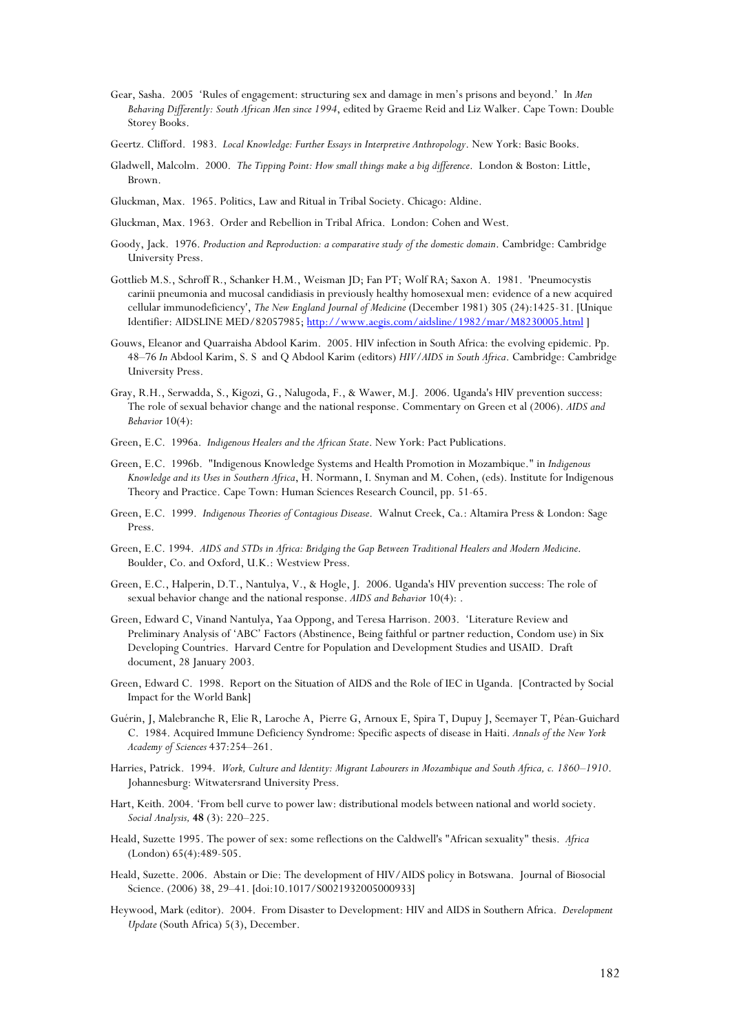- Gear, Sasha. 2005 'Rules of engagement: structuring sex and damage in men's prisons and beyond.' In *Men Behaving Differently: South African Men since 1994*, edited by Graeme Reid and Liz Walker. Cape Town: Double Storey Books.
- Geertz. Clifford. 1983. *Local Knowledge: Further Essays in Interpretive Anthropology*. New York: Basic Books.
- Gladwell, Malcolm. 2000. *The Tipping Point: How small things make a big difference*. London & Boston: Little, Brown.
- Gluckman, Max. 1965. Politics, Law and Ritual in Tribal Society. Chicago: Aldine.
- Gluckman, Max. 1963. Order and Rebellion in Tribal Africa. London: Cohen and West.
- Goody, Jack. 1976. *Production and Reproduction: a comparative study of the domestic domain*. Cambridge: Cambridge University Press.
- Gottlieb M.S., Schroff R., Schanker H.M., Weisman JD; Fan PT; Wolf RA; Saxon A. 1981. 'Pneumocystis carinii pneumonia and mucosal candidiasis in previously healthy homosexual men: evidence of a new acquired cellular immunodeficiency', *The New England Journal of Medicine* (December 1981) 305 (24):1425-31. [Unique Identifier: AIDSLINE MED/82057985; http://www.aegis.com/aidsline/1982/mar/M8230005.html ]
- Gouws, Eleanor and Quarraisha Abdool Karim. 2005. HIV infection in South Africa: the evolving epidemic. Pp. 48–76 *In* Abdool Karim, S. S and Q Abdool Karim (editors) *HIV/AIDS in South Africa*. Cambridge: Cambridge University Press.
- Gray, R.H., Serwadda, S., Kigozi, G., Nalugoda, F., & Wawer, M.J. 2006. Uganda's HIV prevention success: The role of sexual behavior change and the national response. Commentary on Green et al (2006). *AIDS and Behavior* 10(4):
- Green, E.C. 1996a. *Indigenous Healers and the African State*. New York: Pact Publications.
- Green, E.C. 1996b. "Indigenous Knowledge Systems and Health Promotion in Mozambique." in *Indigenous Knowledge and its Uses in Southern Africa*, H. Normann, I. Snyman and M. Cohen, (eds). Institute for Indigenous Theory and Practice. Cape Town: Human Sciences Research Council, pp. 51-65.
- Green, E.C. 1999. *Indigenous Theories of Contagious Disease*. Walnut Creek, Ca.: Altamira Press & London: Sage Press.
- Green, E.C. 1994. *AIDS and STDs in Africa: Bridging the Gap Between Traditional Healers and Modern Medicine*. Boulder, Co. and Oxford, U.K.: Westview Press.
- Green, E.C., Halperin, D.T., Nantulya, V., & Hogle, J. 2006. Uganda's HIV prevention success: The role of sexual behavior change and the national response. *AIDS and Behavior* 10(4): .
- Green, Edward C, Vinand Nantulya, Yaa Oppong, and Teresa Harrison. 2003. 'Literature Review and Preliminary Analysis of 'ABC' Factors (Abstinence, Being faithful or partner reduction, Condom use) in Six Developing Countries. Harvard Centre for Population and Development Studies and USAID. Draft document, 28 January 2003.
- Green, Edward C. 1998. Report on the Situation of AIDS and the Role of IEC in Uganda. [Contracted by Social Impact for the World Bank]
- Guérin, J, Malebranche R, Elie R, Laroche A, Pierre G, Arnoux E, Spira T, Dupuy J, Seemayer T, Péan-Guichard C. 1984. Acquired Immune Deficiency Syndrome: Specific aspects of disease in Haiti. *Annals of the New York Academy of Sciences* 437:254–261.
- Harries, Patrick. 1994. *Work, Culture and Identity: Migrant Labourers in Mozambique and South Africa, c. 1860–1910*. Johannesburg: Witwatersrand University Press.
- Hart, Keith. 2004. 'From bell curve to power law: distributional models between national and world society. *Social Analysis,* **48** (3): 220–225.
- Heald, Suzette 1995. The power of sex: some reflections on the Caldwell's "African sexuality" thesis. *Africa* (London) 65(4):489-505.
- Heald, Suzette. 2006. Abstain or Die: The development of HIV/AIDS policy in Botswana. Journal of Biosocial Science. (2006) 38, 29–41. [doi:10.1017/S0021932005000933]
- Heywood, Mark (editor). 2004. From Disaster to Development: HIV and AIDS in Southern Africa. *Development Update* (South Africa) 5(3), December.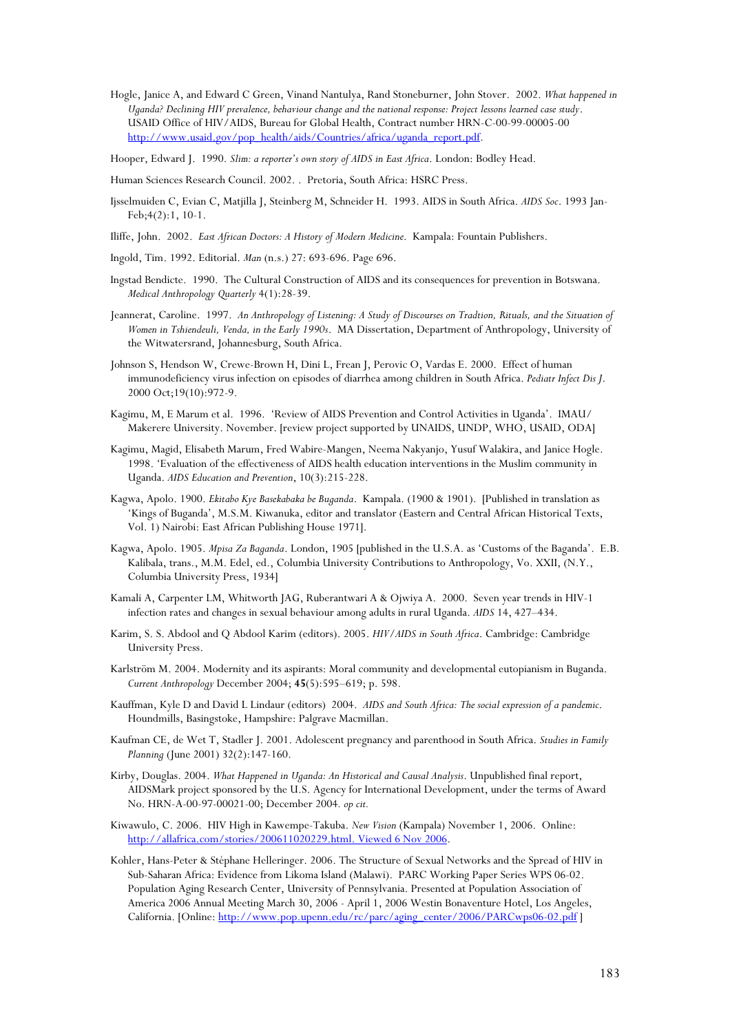- Hogle, Janice A, and Edward C Green, Vinand Nantulya, Rand Stoneburner, John Stover. 2002. *What happened in Uganda? Declining HIV prevalence, behaviour change and the national response: Project lessons learned case study*. USAID Office of HIV/AIDS, Bureau for Global Health, Contract number HRN-C-00-99-00005-00 http://www.usaid.gov/pop\_health/aids/Countries/africa/uganda\_report.pdf.
- Hooper, Edward J. 1990. *Slim: a reporter's own story of AIDS in East Africa*. London: Bodley Head.
- Human Sciences Research Council. 2002. . Pretoria, South Africa: HSRC Press.
- Ijsselmuiden C, Evian C, Matjilla J, Steinberg M, Schneider H. 1993. AIDS in South Africa. *AIDS Soc*. 1993 Jan-Feb;4(2):1, 10-1.
- Iliffe, John. 2002. *East African Doctors: A History of Modern Medicine*. Kampala: Fountain Publishers.
- Ingold, Tim. 1992. Editorial. *Man* (n.s.) 27: 693-696. Page 696.
- Ingstad Bendicte. 1990. The Cultural Construction of AIDS and its consequences for prevention in Botswana. *Medical Anthropology Quarterly* 4(1):28-39.
- Jeannerat, Caroline. 1997. *An Anthropology of Listening: A Study of Discourses on Tradtion, Rituals, and the Situation of Women in Tshiendeuli, Venda, in the Early 1990s*. MA Dissertation, Department of Anthropology, University of the Witwatersrand, Johannesburg, South Africa.
- Johnson S, Hendson W, Crewe-Brown H, Dini L, Frean J, Perovic O, Vardas E. 2000. Effect of human immunodeficiency virus infection on episodes of diarrhea among children in South Africa. *Pediatr Infect Dis J*. 2000 Oct;19(10):972-9.
- Kagimu, M, E Marum et al. 1996. 'Review of AIDS Prevention and Control Activities in Uganda'. IMAU/ Makerere University. November. [review project supported by UNAIDS, UNDP, WHO, USAID, ODA]
- Kagimu, Magid, Elisabeth Marum, Fred Wabire-Mangen, Neema Nakyanjo, Yusuf Walakira, and Janice Hogle. 1998. 'Evaluation of the effectiveness of AIDS health education interventions in the Muslim community in Uganda. *AIDS Education and Prevention*, 10(3):215-228.
- Kagwa, Apolo. 1900. *Ekitabo Kye Basekabaka be Buganda*. Kampala. (1900 & 1901). [Published in translation as 'Kings of Buganda', M.S.M. Kiwanuka, editor and translator (Eastern and Central African Historical Texts, Vol. 1) Nairobi: East African Publishing House 1971].
- Kagwa, Apolo. 1905. *Mpisa Za Baganda*. London, 1905 [published in the U.S.A. as 'Customs of the Baganda'. E.B. Kalibala, trans., M.M. Edel, ed., Columbia University Contributions to Anthropology, Vo. XXII, (N.Y., Columbia University Press, 1934]
- Kamali A, Carpenter LM, Whitworth JAG, Ruberantwari A & Ojwiya A. 2000. Seven year trends in HIV-1 infection rates and changes in sexual behaviour among adults in rural Uganda. *AIDS* 14, 427–434.
- Karim, S. S. Abdool and Q Abdool Karim (editors). 2005. *HIV/AIDS in South Africa*. Cambridge: Cambridge University Press.
- Karlström M. 2004. Modernity and its aspirants: Moral community and developmental eutopianism in Buganda. *Current Anthropology* December 2004; **45**(5):595–619; p. 598.
- Kauffman, Kyle D and David L Lindaur (editors) 2004. *AIDS and South Africa: The social expression of a pandemic*. Houndmills, Basingstoke, Hampshire: Palgrave Macmillan.
- Kaufman CE, de Wet T, Stadler J. 2001. Adolescent pregnancy and parenthood in South Africa. *Studies in Family Planning* (June 2001) 32(2):147-160.
- Kirby, Douglas. 2004. *What Happened in Uganda: An Historical and Causal Analysis*. Unpublished final report, AIDSMark project sponsored by the U.S. Agency for International Development, under the terms of Award No. HRN-A-00-97-00021-00; December 2004*. op cit.*
- Kiwawulo, C. 2006. HIV High in Kawempe-Takuba. *New Vision* (Kampala) November 1, 2006. Online: http://allafrica.com/stories/200611020229.html. Viewed 6 Nov 2006.
- Kohler, Hans-Peter & Stéphane Helleringer. 2006. The Structure of Sexual Networks and the Spread of HIV in Sub-Saharan Africa: Evidence from Likoma Island (Malawi). PARC Working Paper Series WPS 06-02. Population Aging Research Center, University of Pennsylvania. Presented at Population Association of America 2006 Annual Meeting March 30, 2006 - April 1, 2006 Westin Bonaventure Hotel, Los Angeles, California. [Online: http://www.pop.upenn.edu/rc/parc/aging\_center/2006/PARCwps06-02.pdf ]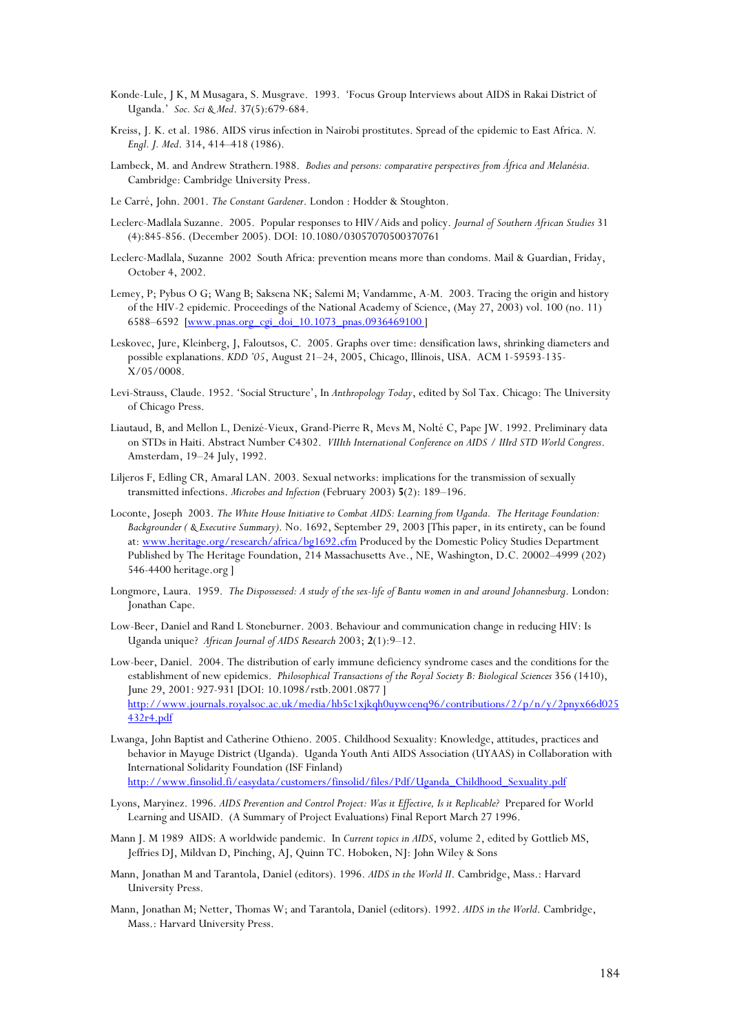- Konde-Lule, J K, M Musagara, S. Musgrave. 1993. 'Focus Group Interviews about AIDS in Rakai District of Uganda.' *Soc. Sci & Med*. 37(5):679-684.
- Kreiss, J. K. et al. 1986. AIDS virus infection in Nairobi prostitutes. Spread of the epidemic to East Africa. *N. Engl. J. Med*. 314, 414–418 (1986).
- Lambeck, M. and Andrew Strathern*.*1988. *Bodies and persons: comparative perspectives from África and Melanésia.* Cambridge: Cambridge University Press.
- Le Carré, John. 2001. *The Constant Gardener*. London : Hodder & Stoughton.
- Leclerc-Madlala Suzanne. 2005. Popular responses to HIV/Aids and policy. *Journal of Southern African Studies* 31 (4):845-856. (December 2005). DOI: 10.1080/03057070500370761
- Leclerc-Madlala, Suzanne 2002 South Africa: prevention means more than condoms. Mail & Guardian, Friday, October 4, 2002.
- Lemey, P; Pybus O G; Wang B; Saksena NK; Salemi M; Vandamme, A-M. 2003. Tracing the origin and history of the HIV-2 epidemic. Proceedings of the National Academy of Science, (May 27, 2003) vol. 100 (no. 11) 6588–6592 [www.pnas.org\_cgi\_doi\_10.1073\_pnas.0936469100 ]
- Leskovec, Jure, Kleinberg, J, Faloutsos, C. 2005. Graphs over time: densification laws, shrinking diameters and possible explanations. *KDD '05*, August 21–24, 2005, Chicago, Illinois, USA. ACM 1-59593-135- X/05/0008.
- Levi-Strauss, Claude. 1952. 'Social Structure', In *Anthropology Today*, edited by Sol Tax. Chicago: The University of Chicago Press.
- Liautaud, B, and Mellon L, Denizé-Vieux, Grand-Pierre R, Mevs M, Nolté C, Pape JW. 1992. Preliminary data on STDs in Haiti. Abstract Number C4302. *VIIIth International Conference on AIDS / IIIrd STD World Congress*. Amsterdam, 19–24 July, 1992.
- Liljeros F, Edling CR, Amaral LAN. 2003. Sexual networks: implications for the transmission of sexually transmitted infections. *Microbes and Infection* (February 2003) **5**(2): 189–196.
- Loconte, Joseph 2003. *The White House Initiative to Combat AIDS: Learning from Uganda. The Heritage Foundation: Backgrounder ( & Executive Summary)*. No. 1692, September 29, 2003 [This paper, in its entirety, can be found at: www.heritage.org/research/africa/bg1692.cfm Produced by the Domestic Policy Studies Department Published by The Heritage Foundation, 214 Massachusetts Ave., NE, Washington, D.C. 20002–4999 (202) 546-4400 heritage.org ]
- Longmore, Laura. 1959. *The Dispossessed: A study of the sex-life of Bantu women in and around Johannesburg*. London: Jonathan Cape.
- Low-Beer, Daniel and Rand L Stoneburner. 2003. Behaviour and communication change in reducing HIV: Is Uganda unique? *African Journal of AIDS Research* 2003; **2**(1):9–12.
- Low-beer, Daniel. 2004. The distribution of early immune deficiency syndrome cases and the conditions for the establishment of new epidemics. *Philosophical Transactions of the Royal Society B: Biological Sciences* 356 (1410), June 29, 2001: 927-931 [DOI: 10.1098/rstb.2001.0877 ] http://www.journals.royalsoc.ac.uk/media/hb5c1xjkqh0uywcenq96/contributions/2/p/n/y/2pnyx66d025 432r4.pdf
- Lwanga, John Baptist and Catherine Othieno. 2005. Childhood Sexuality: Knowledge, attitudes, practices and behavior in Mayuge District (Uganda). Uganda Youth Anti AIDS Association (UYAAS) in Collaboration with International Solidarity Foundation (ISF Finland) http://www.finsolid.fi/easydata/customers/finsolid/files/Pdf/Uganda\_Childhood\_Sexuality.pdf
- Lyons, Maryinez. 1996. *AIDS Prevention and Control Project: Was it Effective, Is it Replicable?* Prepared for World Learning and USAID. (A Summary of Project Evaluations) Final Report March 27 1996.
- Mann J. M 1989 AIDS: A worldwide pandemic. In *Current topics in AIDS*, volume 2, edited by Gottlieb MS, Jeffries DJ, Mildvan D, Pinching, AJ, Quinn TC. Hoboken, NJ: John Wiley & Sons
- Mann, Jonathan M and Tarantola, Daniel (editors). 1996. *AIDS in the World II*. Cambridge, Mass.: Harvard University Press.
- Mann, Jonathan M; Netter, Thomas W; and Tarantola, Daniel (editors). 1992. *AIDS in the World*. Cambridge, Mass.: Harvard University Press.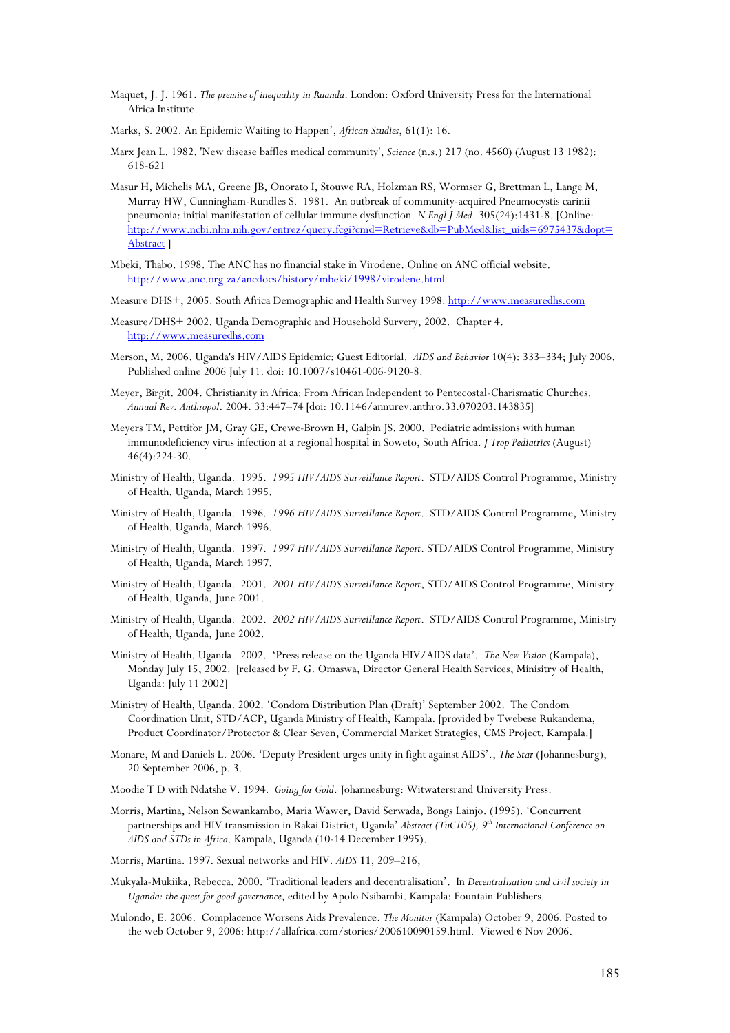- Maquet, J. J. 1961. *The premise of inequality in Ruanda*. London: Oxford University Press for the International Africa Institute.
- Marks, S. 2002. An Epidemic Waiting to Happen', *African Studies*, 61(1): 16.
- Marx Jean L. 1982. 'New disease baffles medical community', *Science* (n.s.) 217 (no. 4560) (August 13 1982): 618-621
- Masur H, Michelis MA, Greene JB, Onorato I, Stouwe RA, Holzman RS, Wormser G, Brettman L, Lange M, Murray HW, Cunningham-Rundles S. 1981. An outbreak of community-acquired Pneumocystis carinii pneumonia: initial manifestation of cellular immune dysfunction. *N Engl J Med*. 305(24):1431-8. [Online: http://www.ncbi.nlm.nih.gov/entrez/query.fcgi?cmd=Retrieve&db=PubMed&list\_uids=6975437&dopt= Abstract ]
- Mbeki, Thabo. 1998. The ANC has no financial stake in Virodene. Online on ANC official website. http://www.anc.org.za/ancdocs/history/mbeki/1998/virodene.html
- Measure DHS+, 2005. South Africa Demographic and Health Survey 1998. http://www.measuredhs.com
- Measure/DHS+ 2002. Uganda Demographic and Household Survery, 2002. Chapter 4. http://www.measuredhs.com
- Merson, M. 2006. Uganda's HIV/AIDS Epidemic: Guest Editorial. *AIDS and Behavior* 10(4): 333–334; July 2006. Published online 2006 July 11. doi: 10.1007/s10461-006-9120-8.
- Meyer, Birgit. 2004. Christianity in Africa: From African Independent to Pentecostal-Charismatic Churches. *Annual Rev. Anthropol*. 2004. 33:447–74 [doi: 10.1146/annurev.anthro.33.070203.143835]
- Meyers TM, Pettifor JM, Gray GE, Crewe-Brown H, Galpin JS. 2000. Pediatric admissions with human immunodeficiency virus infection at a regional hospital in Soweto, South Africa. *J Trop Pediatrics* (August) 46(4):224-30.
- Ministry of Health, Uganda. 1995. *1995 HIV/AIDS Surveillance Report*. STD/AIDS Control Programme, Ministry of Health, Uganda, March 1995.
- Ministry of Health, Uganda. 1996. *1996 HIV/AIDS Surveillance Report*. STD/AIDS Control Programme, Ministry of Health, Uganda, March 1996.
- Ministry of Health, Uganda. 1997. *1997 HIV/AIDS Surveillance Report*. STD/AIDS Control Programme, Ministry of Health, Uganda, March 1997.
- Ministry of Health, Uganda. 2001. *2001 HIV/AIDS Surveillance Report*, STD/AIDS Control Programme, Ministry of Health, Uganda, June 2001.
- Ministry of Health, Uganda. 2002. *2002 HIV/AIDS Surveillance Report*. STD/AIDS Control Programme, Ministry of Health, Uganda, June 2002.
- Ministry of Health, Uganda. 2002. 'Press release on the Uganda HIV/AIDS data'. *The New Vision* (Kampala), Monday July 15, 2002. [released by F. G. Omaswa, Director General Health Services, Minisitry of Health, Uganda: July 11 2002]
- Ministry of Health, Uganda. 2002. 'Condom Distribution Plan (Draft)' September 2002. The Condom Coordination Unit, STD/ACP, Uganda Ministry of Health, Kampala. [provided by Twebese Rukandema, Product Coordinator/Protector & Clear Seven, Commercial Market Strategies, CMS Project. Kampala.]
- Monare, M and Daniels L. 2006. 'Deputy President urges unity in fight against AIDS'., *The Star* (Johannesburg), 20 September 2006, p. 3.
- Moodie T D with Ndatshe V. 1994. *Going for Gold*. Johannesburg: Witwatersrand University Press.
- Morris, Martina, Nelson Sewankambo, Maria Wawer, David Serwada, Bongs Lainjo. (1995). 'Concurrent partnerships and HIV transmission in Rakai District, Uganda' *Abstract (TuC105), 9th International Conference on AIDS and STDs in Africa*. Kampala, Uganda (10-14 December 1995).
- Morris, Martina. 1997. Sexual networks and HIV. *AIDS* **11**, 209–216,
- Mukyala-Mukiika, Rebecca. 2000. 'Traditional leaders and decentralisation'. In *Decentralisation and civil society in Uganda: the quest for good governance*, edited by Apolo Nsibambi. Kampala: Fountain Publishers.
- Mulondo, E. 2006. Complacence Worsens Aids Prevalence. *The Monitor* (Kampala) October 9, 2006. Posted to the web October 9, 2006: http://allafrica.com/stories/200610090159.html. Viewed 6 Nov 2006.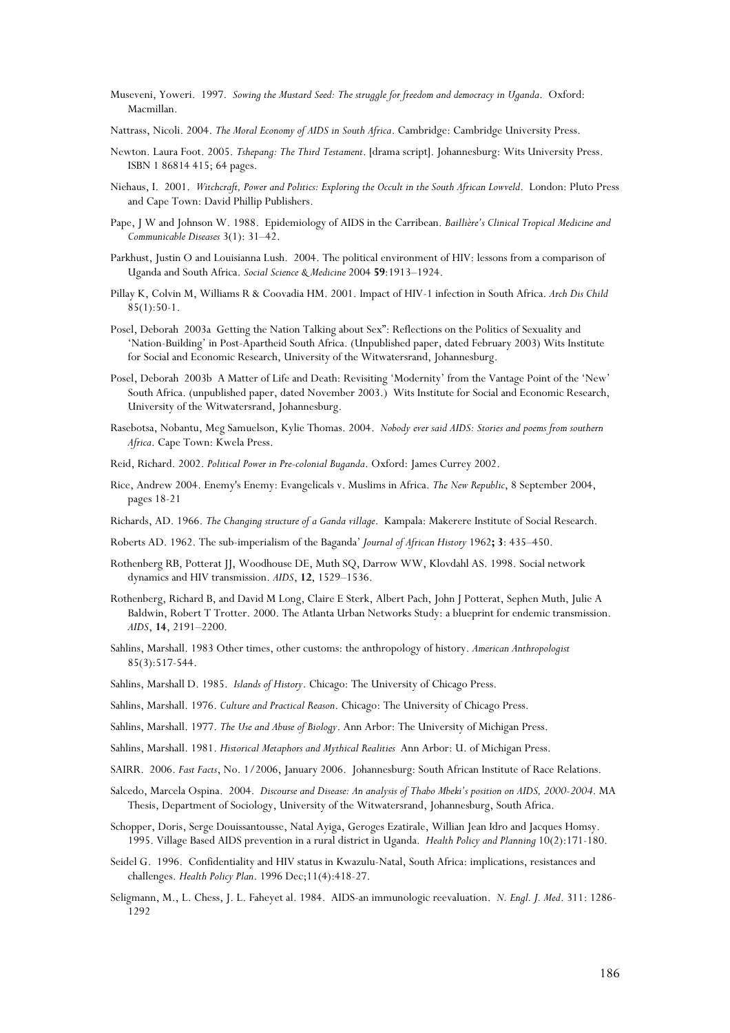- Museveni, Yoweri. 1997. *Sowing the Mustard Seed: The struggle for freedom and democracy in Uganda*. Oxford: Macmillan.
- Nattrass, Nicoli. 2004. *The Moral Economy of AIDS in South Africa*. Cambridge: Cambridge University Press.
- Newton. Laura Foot. 2005. *Tshepang: The Third Testament*. [drama script]. Johannesburg: Wits University Press. ISBN 1 86814 415; 64 pages.
- Niehaus, I. 2001. *Witchcraft, Power and Politics: Exploring the Occult in the South African Lowveld*. London: Pluto Press and Cape Town: David Phillip Publishers.
- Pape, J W and Johnson W. 1988. Epidemiology of AIDS in the Carribean. *Baillière's Clinical Tropical Medicine and Communicable Diseases* 3(1): 31–42.
- Parkhust, Justin O and Louisianna Lush. 2004. The political environment of HIV: lessons from a comparison of Uganda and South Africa. *Social Science & Medicine* 2004 **59**:1913–1924.
- Pillay K, Colvin M, Williams R & Coovadia HM. 2001. Impact of HIV-1 infection in South Africa. *Arch Dis Child*  $85(1):50-1.$
- Posel, Deborah 2003a Getting the Nation Talking about Sex": Reflections on the Politics of Sexuality and 'Nation-Building' in Post-Apartheid South Africa. (Unpublished paper, dated February 2003) Wits Institute for Social and Economic Research, University of the Witwatersrand, Johannesburg.
- Posel, Deborah 2003b A Matter of Life and Death: Revisiting 'Modernity' from the Vantage Point of the 'New' South Africa. (unpublished paper, dated November 2003.) Wits Institute for Social and Economic Research, University of the Witwatersrand, Johannesburg.
- Rasebotsa, Nobantu, Meg Samuelson, Kylie Thomas. 2004. *Nobody ever said AIDS: Stories and poems from southern Africa*. Cape Town: Kwela Press.
- Reid, Richard. 2002. *Political Power in Pre-colonial Buganda*. Oxford: James Currey 2002.
- Rice, Andrew 2004. Enemy's Enemy: Evangelicals v. Muslims in Africa. *The New Republic*, 8 September 2004, pages 18-21
- Richards, AD. 1966. *The Changing structure of a Ganda village*. Kampala: Makerere Institute of Social Research.
- Roberts AD. 1962. The sub-imperialism of the Baganda' *Journal of African History* 1962**; 3**: 435–450.
- Rothenberg RB, Potterat JJ, Woodhouse DE, Muth SQ, Darrow WW, Klovdahl AS. 1998. Social network dynamics and HIV transmission. *AIDS*, **12**, 1529–1536.
- Rothenberg, Richard B, and David M Long, Claire E Sterk, Albert Pach, John J Potterat, Sephen Muth, Julie A Baldwin, Robert T Trotter. 2000. The Atlanta Urban Networks Study: a blueprint for endemic transmission. *AIDS*, **14**, 2191–2200.
- Sahlins, Marshall. 1983 Other times, other customs: the anthropology of history. *American Anthropologist* 85(3):517-544.
- Sahlins, Marshall D. 1985. *Islands of History*. Chicago: The University of Chicago Press.
- Sahlins, Marshall. 1976. *Culture and Practical Reason*. Chicago: The University of Chicago Press.
- Sahlins, Marshall. 1977. *The Use and Abuse of Biology*. Ann Arbor: The University of Michigan Press.
- Sahlins, Marshall. 1981. *Historical Metaphors and Mythical Realities* Ann Arbor: U. of Michigan Press.
- SAIRR. 2006. *Fast Facts*, No. 1/2006, January 2006. Johannesburg: South African Institute of Race Relations.
- Salcedo, Marcela Ospina. 2004. *Discourse and Disease: An analysis of Thabo Mbeki's position on AIDS, 2000-2004*. MA Thesis, Department of Sociology, University of the Witwatersrand, Johannesburg, South Africa.
- Schopper, Doris, Serge Douissantousse, Natal Ayiga, Geroges Ezatirale, Willian Jean Idro and Jacques Homsy. 1995. Village Based AIDS prevention in a rural district in Uganda. *Health Policy and Planning* 10(2):171-180.
- Seidel G. 1996. Confidentiality and HIV status in Kwazulu-Natal, South Africa: implications, resistances and challenges. *Health Policy Plan*. 1996 Dec;11(4):418-27.
- Seligmann, M., L. Chess, J. L. Faheyet al. 1984. AIDS-an immunologic reevaluation. *N. Engl. J. Med*. 311: 1286- 1292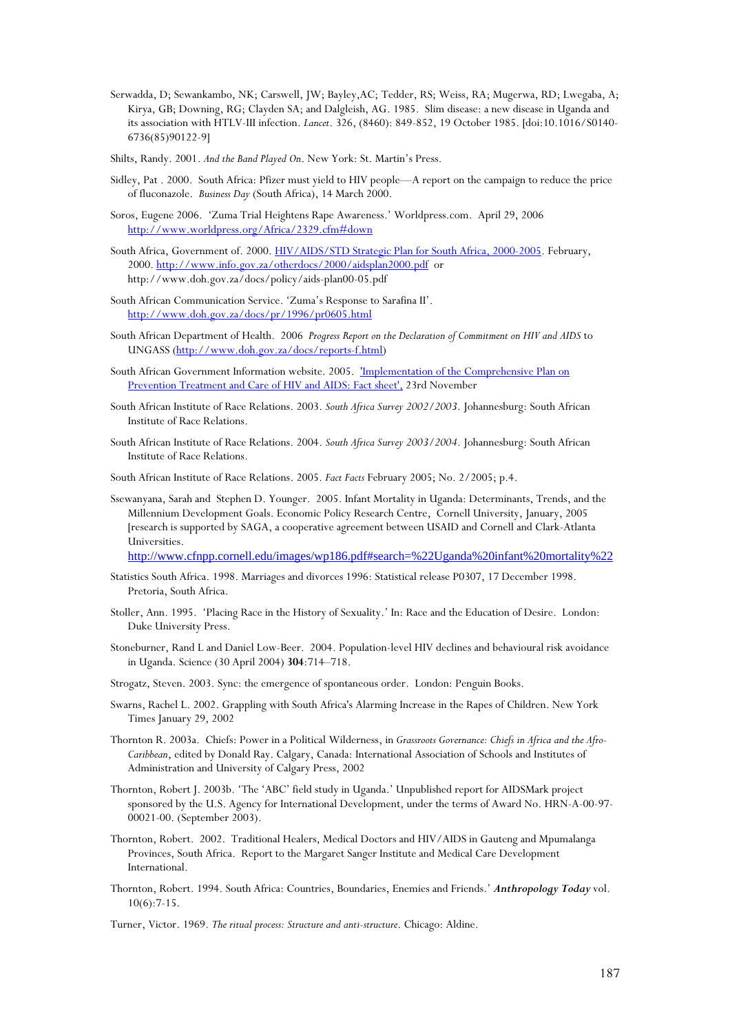- Serwadda, D; Sewankambo, NK; Carswell, JW; Bayley,AC; Tedder, RS; Weiss, RA; Mugerwa, RD; Lwegaba, A; Kirya, GB; Downing, RG; Clayden SA; and Dalgleish, AG. 1985. Slim disease: a new disease in Uganda and its association with HTLV-III infection. *Lancet*. 326, (8460): 849-852, 19 October 1985. [doi:10.1016/S0140- 6736(85)90122-9]
- Shilts, Randy. 2001. *And the Band Played On*. New York: St. Martin's Press.
- Sidley, Pat . 2000. South Africa: Pfizer must yield to HIV people—A report on the campaign to reduce the price of fluconazole. *Business Day* (South Africa), 14 March 2000.
- Soros, Eugene 2006. 'Zuma Trial Heightens Rape Awareness.' Worldpress.com. April 29, 2006 http://www.worldpress.org/Africa/2329.cfm#down
- South Africa, Government of. 2000. HIV/AIDS/STD Strategic Plan for South Africa, 2000-2005. February, 2000. http://www.info.gov.za/otherdocs/2000/aidsplan2000.pdf or http://www.doh.gov.za/docs/policy/aids-plan00-05.pdf
- South African Communication Service. 'Zuma's Response to Sarafina II'. http://www.doh.gov.za/docs/pr/1996/pr0605.html
- South African Department of Health. 2006 *Progress Report on the Declaration of Commitment on HIV and AIDS* to UNGASS (http://www.doh.gov.za/docs/reports-f.html)
- South African Government Information website. 2005. 'Implementation of the Comprehensive Plan on Prevention Treatment and Care of HIV and AIDS: Fact sheet', 23rd November
- South African Institute of Race Relations. 2003. *South Africa Survey 2002/2003*. Johannesburg: South African Institute of Race Relations.
- South African Institute of Race Relations. 2004. *South Africa Survey 2003/2004*. Johannesburg: South African Institute of Race Relations.
- South African Institute of Race Relations. 2005. *Fact Facts* February 2005; No. 2/2005; p.4.
- Ssewanyana, Sarah and Stephen D. Younger. 2005. Infant Mortality in Uganda: Determinants, Trends, and the Millennium Development Goals. Economic Policy Research Centre, Cornell University, January, 2005 [research is supported by SAGA, a cooperative agreement between USAID and Cornell and Clark-Atlanta Universities.

http://www.cfnpp.cornell.edu/images/wp186.pdf#search=%22Uganda%20infant%20mortality%22

- Statistics South Africa. 1998. Marriages and divorces 1996: Statistical release P0307, 17 December 1998. Pretoria, South Africa.
- Stoller, Ann. 1995. 'Placing Race in the History of Sexuality.' In: Race and the Education of Desire. London: Duke University Press.
- Stoneburner, Rand L and Daniel Low-Beer. 2004. Population-level HIV declines and behavioural risk avoidance in Uganda. Science (30 April 2004) **304**:714–718.
- Strogatz, Steven. 2003. Sync: the emergence of spontaneous order. London: Penguin Books.
- Swarns, Rachel L. 2002. Grappling with South Africa's Alarming Increase in the Rapes of Children. New York Times January 29, 2002
- Thornton R. 2003a. Chiefs: Power in a Political Wilderness, in *Grassroots Governance: Chiefs in Africa and the Afro-Caribbean*, edited by Donald Ray. Calgary, Canada: International Association of Schools and Institutes of Administration and University of Calgary Press, 2002
- Thornton, Robert J. 2003b. 'The 'ABC' field study in Uganda.' Unpublished report for AIDSMark project sponsored by the U.S. Agency for International Development, under the terms of Award No. HRN-A-00-97- 00021-00. (September 2003).
- Thornton, Robert. 2002. Traditional Healers, Medical Doctors and HIV/AIDS in Gauteng and Mpumalanga Provinces, South Africa. Report to the Margaret Sanger Institute and Medical Care Development International.
- Thornton, Robert. 1994. South Africa: Countries, Boundaries, Enemies and Friends.' *Anthropology Today* vol.  $10(6) \cdot 7-15$ .

Turner, Victor. 1969. *The ritual process: Structure and anti-structure*. Chicago: Aldine.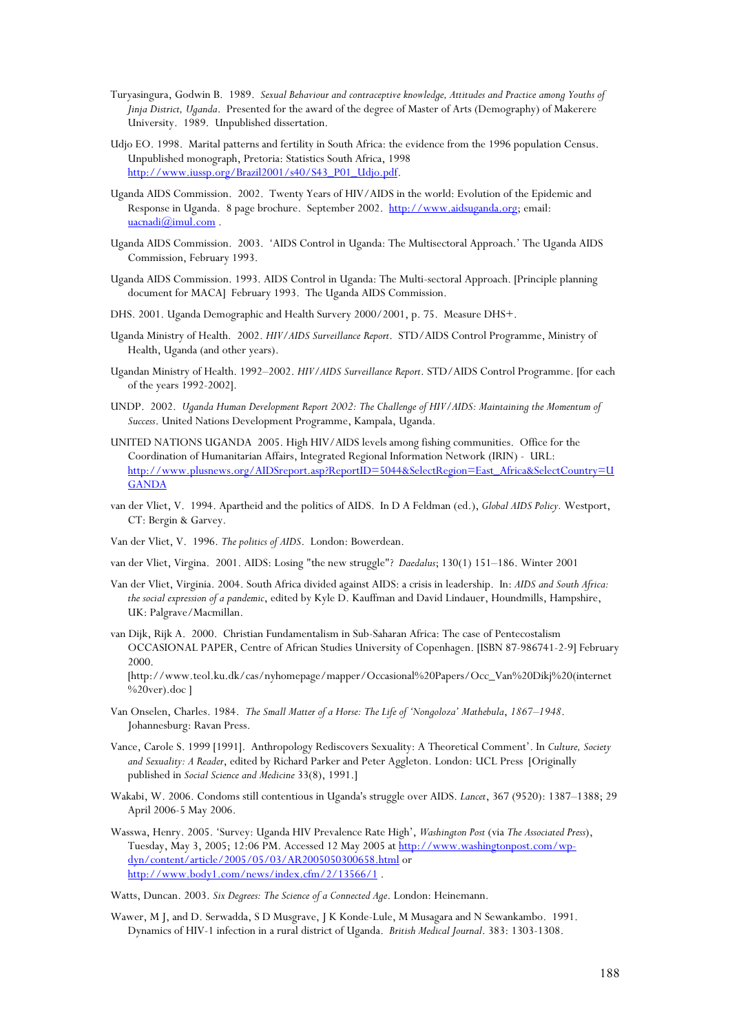- Turyasingura, Godwin B. 1989. *Sexual Behaviour and contraceptive knowledge, Attitudes and Practice among Youths of Jinja District, Uganda*. Presented for the award of the degree of Master of Arts (Demography) of Makerere University. 1989. Unpublished dissertation.
- Udjo EO. 1998. Marital patterns and fertility in South Africa: the evidence from the 1996 population Census. Unpublished monograph, Pretoria: Statistics South Africa, 1998 http://www.iussp.org/Brazil2001/s40/S43\_P01\_Udjo.pdf.
- Uganda AIDS Commission. 2002. Twenty Years of HIV/AIDS in the world: Evolution of the Epidemic and Response in Uganda. 8 page brochure. September 2002. http://www.aidsuganda.org; email: uacnadi@imul.com.
- Uganda AIDS Commission. 2003. 'AIDS Control in Uganda: The Multisectoral Approach.' The Uganda AIDS Commission, February 1993.
- Uganda AIDS Commission. 1993. AIDS Control in Uganda: The Multi-sectoral Approach. [Principle planning document for MACA] February 1993. The Uganda AIDS Commission.
- DHS. 2001. Uganda Demographic and Health Survery 2000/2001, p. 75. Measure DHS+.
- Uganda Ministry of Health. 2002. *HIV/AIDS Surveillance Report*. STD/AIDS Control Programme, Ministry of Health, Uganda (and other years).
- Ugandan Ministry of Health. 1992–2002. *HIV/AIDS Surveillance Report*. STD/AIDS Control Programme. [for each of the years 1992-2002].
- UNDP. 2002. *Uganda Human Development Report 2002: The Challenge of HIV/AIDS: Maintaining the Momentum of Success*. United Nations Development Programme, Kampala, Uganda.
- UNITED NATIONS UGANDA 2005. High HIV/AIDS levels among fishing communities. Office for the Coordination of Humanitarian Affairs, Integrated Regional Information Network (IRIN) - URL: http://www.plusnews.org/AIDSreport.asp?ReportID=5044&SelectRegion=East\_Africa&SelectCountry=U **GANDA**
- van der Vliet, V. 1994. Apartheid and the politics of AIDS. In D A Feldman (ed.), *Global AIDS Policy.* Westport, CT: Bergin & Garvey.

Van der Vliet, V. 1996. *The politics of AIDS*. London: Bowerdean.

- van der Vliet, Virgina. 2001. AIDS: Losing "the new struggle"? *Daedalus*; 130(1) 151–186. Winter 2001
- Van der Vliet, Virginia. 2004. South Africa divided against AIDS: a crisis in leadership. In: *AIDS and South Africa: the social expression of a pandemic*, edited by Kyle D. Kauffman and David Lindauer, Houndmills, Hampshire, UK: Palgrave/Macmillan.
- van Dijk, Rijk A. 2000. Christian Fundamentalism in Sub-Saharan Africa: The case of Pentecostalism OCCASIONAL PAPER, Centre of African Studies University of Copenhagen. [ISBN 87-986741-2-9] February 2000.

[http://www.teol.ku.dk/cas/nyhomepage/mapper/Occasional%20Papers/Occ\_Van%20Dikj%20(internet %20ver).doc ]

- Van Onselen, Charles. 1984. *The Small Matter of a Horse: The Life of 'Nongoloza' Mathebula*, *1867–1948*. Johannesburg: Ravan Press.
- Vance, Carole S. 1999 [1991]. Anthropology Rediscovers Sexuality: A Theoretical Comment'. In *Culture, Society and Sexuality: A Reader*, edited by Richard Parker and Peter Aggleton. London: UCL Press [Originally published in *Social Science and Medicine* 33(8), 1991.]
- Wakabi, W. 2006. Condoms still contentious in Uganda's struggle over AIDS. *Lancet*, 367 (9520): 1387–1388; 29 April 2006-5 May 2006.
- Wasswa, Henry. 2005. 'Survey: Uganda HIV Prevalence Rate High', *Washington Post* (via *The Associated Press*), Tuesday, May 3, 2005; 12:06 PM. Accessed 12 May 2005 at http://www.washingtonpost.com/wpdyn/content/article/2005/05/03/AR2005050300658.html or http://www.body1.com/news/index.cfm/2/13566/1 .

Watts, Duncan. 2003. *Six Degrees: The Science of a Connected Age*. London: Heinemann.

Wawer, M J, and D. Serwadda, S D Musgrave, J K Konde-Lule, M Musagara and N Sewankambo. 1991. Dynamics of HIV-1 infection in a rural district of Uganda. *British Medical Journal*. 383: 1303-1308.